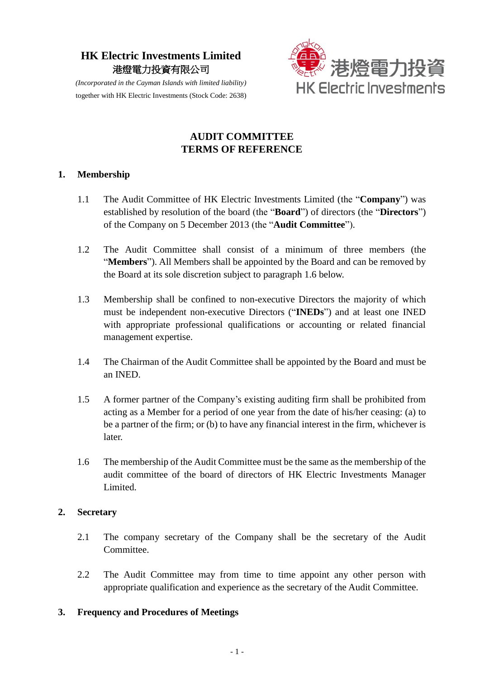# **HK Electric Investments Limited** 港燈電力投資有限公司



*(Incorporated in the Cayman Islands with limited liability)* together with HK Electric Investments (Stock Code: 2638)

## **AUDIT COMMITTEE TERMS OF REFERENCE**

#### **1. Membership**

- 1.1 The Audit Committee of HK Electric Investments Limited (the "**Company**") was established by resolution of the board (the "**Board**") of directors (the "**Directors**") of the Company on 5 December 2013 (the "**Audit Committee**").
- 1.2 The Audit Committee shall consist of a minimum of three members (the "**Members**"). All Members shall be appointed by the Board and can be removed by the Board at its sole discretion subject to paragraph 1.6 below.
- 1.3 Membership shall be confined to non-executive Directors the majority of which must be independent non-executive Directors ("**INEDs**") and at least one INED with appropriate professional qualifications or accounting or related financial management expertise.
- 1.4 The Chairman of the Audit Committee shall be appointed by the Board and must be an INED.
- 1.5 A former partner of the Company's existing auditing firm shall be prohibited from acting as a Member for a period of one year from the date of his/her ceasing: (a) to be a partner of the firm; or (b) to have any financial interest in the firm, whichever is later.
- 1.6 The membership of the Audit Committee must be the same as the membership of the audit committee of the board of directors of HK Electric Investments Manager Limited.

#### **2. Secretary**

- 2.1 The company secretary of the Company shall be the secretary of the Audit Committee.
- 2.2 The Audit Committee may from time to time appoint any other person with appropriate qualification and experience as the secretary of the Audit Committee.

#### **3. Frequency and Procedures of Meetings**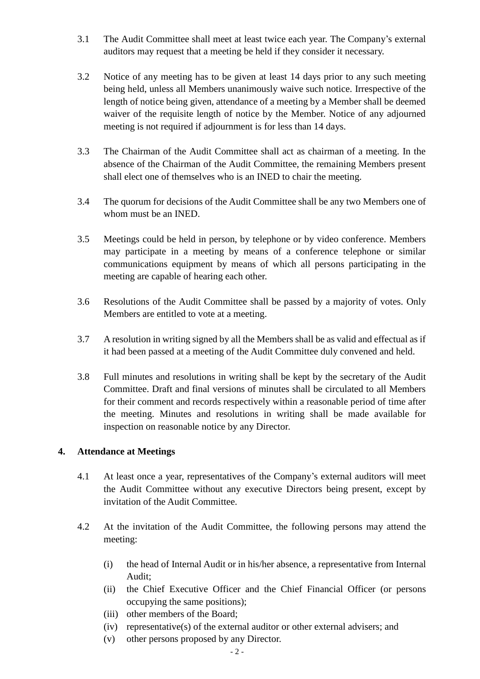- 3.1 The Audit Committee shall meet at least twice each year. The Company's external auditors may request that a meeting be held if they consider it necessary.
- 3.2 Notice of any meeting has to be given at least 14 days prior to any such meeting being held, unless all Members unanimously waive such notice. Irrespective of the length of notice being given, attendance of a meeting by a Member shall be deemed waiver of the requisite length of notice by the Member. Notice of any adjourned meeting is not required if adjournment is for less than 14 days.
- 3.3 The Chairman of the Audit Committee shall act as chairman of a meeting. In the absence of the Chairman of the Audit Committee, the remaining Members present shall elect one of themselves who is an INED to chair the meeting.
- 3.4 The quorum for decisions of the Audit Committee shall be any two Members one of whom must be an INED.
- 3.5 Meetings could be held in person, by telephone or by video conference. Members may participate in a meeting by means of a conference telephone or similar communications equipment by means of which all persons participating in the meeting are capable of hearing each other.
- 3.6 Resolutions of the Audit Committee shall be passed by a majority of votes. Only Members are entitled to vote at a meeting.
- 3.7 A resolution in writing signed by all the Members shall be as valid and effectual as if it had been passed at a meeting of the Audit Committee duly convened and held.
- 3.8 Full minutes and resolutions in writing shall be kept by the secretary of the Audit Committee. Draft and final versions of minutes shall be circulated to all Members for their comment and records respectively within a reasonable period of time after the meeting. Minutes and resolutions in writing shall be made available for inspection on reasonable notice by any Director.

#### **4. Attendance at Meetings**

- 4.1 At least once a year, representatives of the Company's external auditors will meet the Audit Committee without any executive Directors being present, except by invitation of the Audit Committee.
- 4.2 At the invitation of the Audit Committee, the following persons may attend the meeting:
	- (i) the head of Internal Audit or in his/her absence, a representative from Internal Audit;
	- (ii) the Chief Executive Officer and the Chief Financial Officer (or persons occupying the same positions);
	- (iii) other members of the Board;
	- (iv) representative(s) of the external auditor or other external advisers; and
	- (v) other persons proposed by any Director.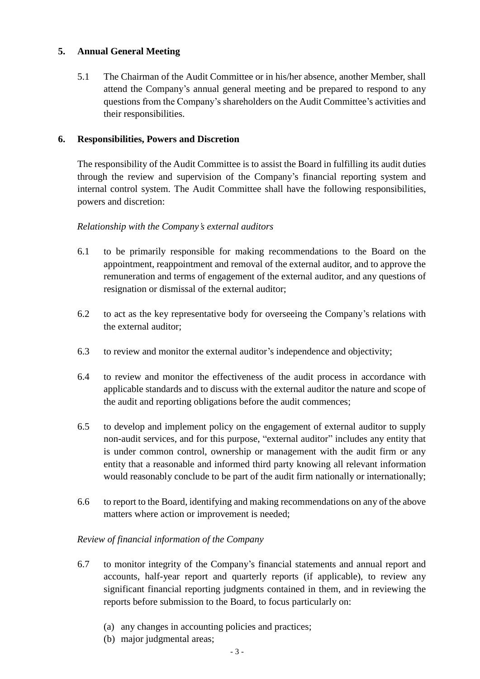## **5. Annual General Meeting**

5.1 The Chairman of the Audit Committee or in his/her absence, another Member, shall attend the Company's annual general meeting and be prepared to respond to any questions from the Company's shareholders on the Audit Committee's activities and their responsibilities.

#### **6. Responsibilities, Powers and Discretion**

The responsibility of the Audit Committee is to assist the Board in fulfilling its audit duties through the review and supervision of the Company's financial reporting system and internal control system. The Audit Committee shall have the following responsibilities, powers and discretion:

#### *Relationship with the Company's external auditors*

- 6.1 to be primarily responsible for making recommendations to the Board on the appointment, reappointment and removal of the external auditor, and to approve the remuneration and terms of engagement of the external auditor, and any questions of resignation or dismissal of the external auditor;
- 6.2 to act as the key representative body for overseeing the Company's relations with the external auditor;
- 6.3 to review and monitor the external auditor's independence and objectivity;
- 6.4 to review and monitor the effectiveness of the audit process in accordance with applicable standards and to discuss with the external auditor the nature and scope of the audit and reporting obligations before the audit commences;
- 6.5 to develop and implement policy on the engagement of external auditor to supply non-audit services, and for this purpose, "external auditor" includes any entity that is under common control, ownership or management with the audit firm or any entity that a reasonable and informed third party knowing all relevant information would reasonably conclude to be part of the audit firm nationally or internationally;
- 6.6 to report to the Board, identifying and making recommendations on any of the above matters where action or improvement is needed;

#### *Review of financial information of the Company*

- 6.7 to monitor integrity of the Company's financial statements and annual report and accounts, half-year report and quarterly reports (if applicable), to review any significant financial reporting judgments contained in them, and in reviewing the reports before submission to the Board, to focus particularly on:
	- (a) any changes in accounting policies and practices;
	- (b) major judgmental areas;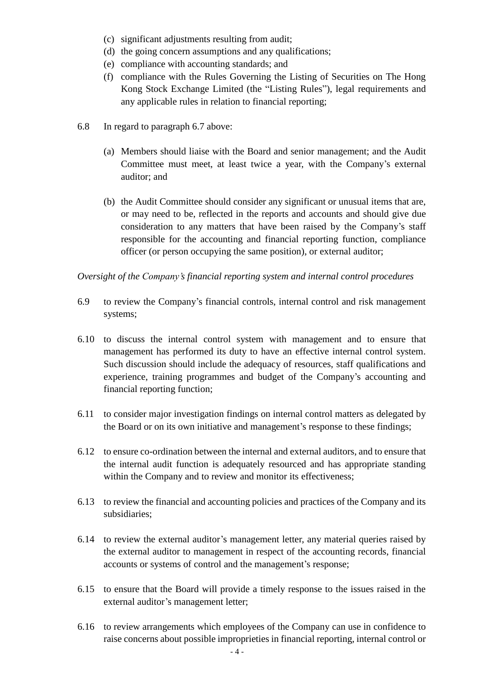- (c) significant adjustments resulting from audit;
- (d) the going concern assumptions and any qualifications;
- (e) compliance with accounting standards; and
- (f) compliance with the Rules Governing the Listing of Securities on The Hong Kong Stock Exchange Limited (the "Listing Rules"), legal requirements and any applicable rules in relation to financial reporting;
- 6.8 In regard to paragraph 6.7 above:
	- (a) Members should liaise with the Board and senior management; and the Audit Committee must meet, at least twice a year, with the Company's external auditor; and
	- (b) the Audit Committee should consider any significant or unusual items that are, or may need to be, reflected in the reports and accounts and should give due consideration to any matters that have been raised by the Company's staff responsible for the accounting and financial reporting function, compliance officer (or person occupying the same position), or external auditor;

#### *Oversight of the Company's financial reporting system and internal control procedures*

- 6.9 to review the Company's financial controls, internal control and risk management systems;
- 6.10 to discuss the internal control system with management and to ensure that management has performed its duty to have an effective internal control system. Such discussion should include the adequacy of resources, staff qualifications and experience, training programmes and budget of the Company's accounting and financial reporting function;
- 6.11 to consider major investigation findings on internal control matters as delegated by the Board or on its own initiative and management's response to these findings;
- 6.12 to ensure co-ordination between the internal and external auditors, and to ensure that the internal audit function is adequately resourced and has appropriate standing within the Company and to review and monitor its effectiveness;
- 6.13 to review the financial and accounting policies and practices of the Company and its subsidiaries;
- 6.14 to review the external auditor's management letter, any material queries raised by the external auditor to management in respect of the accounting records, financial accounts or systems of control and the management's response;
- 6.15 to ensure that the Board will provide a timely response to the issues raised in the external auditor's management letter;
- 6.16 to review arrangements which employees of the Company can use in confidence to raise concerns about possible improprieties in financial reporting, internal control or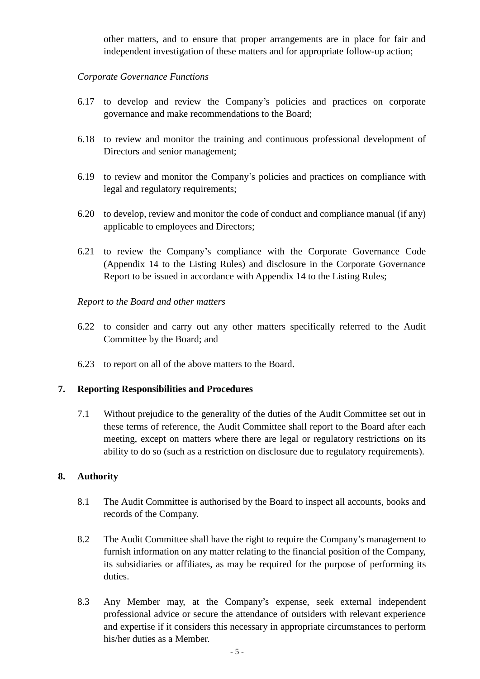other matters, and to ensure that proper arrangements are in place for fair and independent investigation of these matters and for appropriate follow-up action;

#### *Corporate Governance Functions*

- 6.17 to develop and review the Company's policies and practices on corporate governance and make recommendations to the Board;
- 6.18 to review and monitor the training and continuous professional development of Directors and senior management;
- 6.19 to review and monitor the Company's policies and practices on compliance with legal and regulatory requirements;
- 6.20 to develop, review and monitor the code of conduct and compliance manual (if any) applicable to employees and Directors;
- 6.21 to review the Company's compliance with the Corporate Governance Code (Appendix 14 to the Listing Rules) and disclosure in the Corporate Governance Report to be issued in accordance with Appendix 14 to the Listing Rules;

#### *Report to the Board and other matters*

- 6.22 to consider and carry out any other matters specifically referred to the Audit Committee by the Board; and
- 6.23 to report on all of the above matters to the Board.

#### **7. Reporting Responsibilities and Procedures**

7.1 Without prejudice to the generality of the duties of the Audit Committee set out in these terms of reference, the Audit Committee shall report to the Board after each meeting, except on matters where there are legal or regulatory restrictions on its ability to do so (such as a restriction on disclosure due to regulatory requirements).

#### **8. Authority**

- 8.1 The Audit Committee is authorised by the Board to inspect all accounts, books and records of the Company.
- 8.2 The Audit Committee shall have the right to require the Company's management to furnish information on any matter relating to the financial position of the Company, its subsidiaries or affiliates, as may be required for the purpose of performing its duties.
- 8.3 Any Member may, at the Company's expense, seek external independent professional advice or secure the attendance of outsiders with relevant experience and expertise if it considers this necessary in appropriate circumstances to perform his/her duties as a Member.